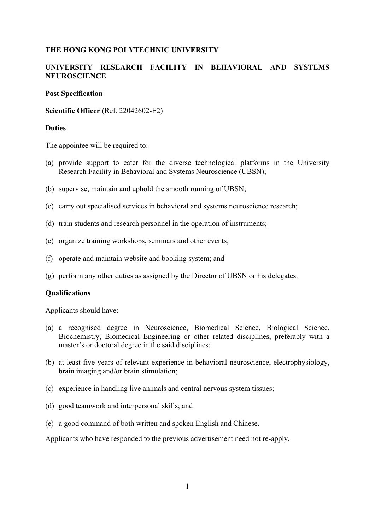### **THE HONG KONG POLYTECHNIC UNIVERSITY**

# **UNIVERSITY RESEARCH FACILITY IN BEHAVIORAL AND SYSTEMS NEUROSCIENCE**

#### **Post Specification**

**Scientific Officer** (Ref. 22042602-E2)

### **Duties**

The appointee will be required to:

- (a) provide support to cater for the diverse technological platforms in the University Research Facility in Behavioral and Systems Neuroscience (UBSN);
- (b) supervise, maintain and uphold the smooth running of UBSN;
- (c) carry out specialised services in behavioral and systems neuroscience research;
- (d) train students and research personnel in the operation of instruments;
- (e) organize training workshops, seminars and other events;
- (f) operate and maintain website and booking system; and
- (g) perform any other duties as assigned by the Director of UBSN or his delegates.

#### **Qualifications**

Applicants should have:

- (a) a recognised degree in Neuroscience, Biomedical Science, Biological Science, Biochemistry, Biomedical Engineering or other related disciplines, preferably with a master's or doctoral degree in the said disciplines;
- (b) at least five years of relevant experience in behavioral neuroscience, electrophysiology, brain imaging and/or brain stimulation;
- (c) experience in handling live animals and central nervous system tissues;
- (d) good teamwork and interpersonal skills; and
- (e) a good command of both written and spoken English and Chinese.

Applicants who have responded to the previous advertisement need not re-apply.